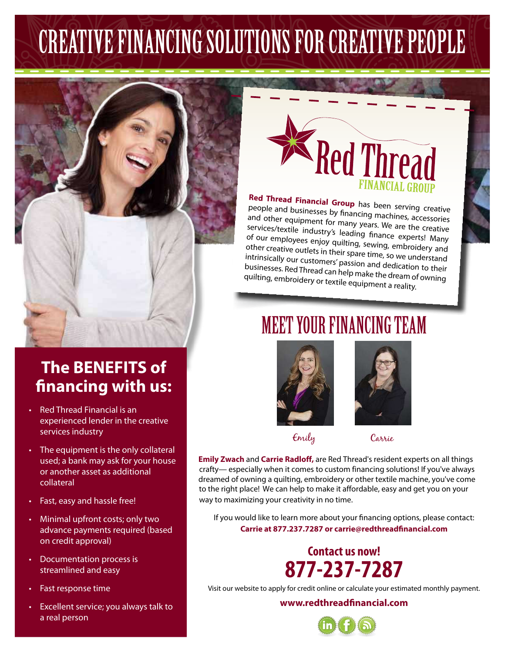## CREATIVE FINANCING SOLUTIONS FOR CREATIVE PEOPLE



# **Red Thread**

#### **Red Thread Financial Gr**

**people and businesses by financing mask-**<br>People and businesses by financing mask: people and businesses by financing machines, accessories services/textile equipment for many years. We are the creative industry's leading finance e xperts! Many of our employees enjoy quilting, sewing, embroidery and<br>other creative outlets in their space of embroidery and other creative outlets in their spare time, embroidery and<br>intrinsically our customers' passion as 1.1 we understand manisically our customers' passion and dedication to their<br>businesses. Red Thread can hel businesses. Red Thread can help make the dream of owning<br>quilting, embroidery or textile oquing quilting, embroidery or textile equipment a reality.

## MEET YOUR FINANCING TEAM





**Emily Zwach** and **Carrie Radloff,** are Red Thread's resident experts on all things crafty— especially when it comes to custom financing solutions! If you've always dreamed of owning a quilting, embroidery or other textile machine, you've come to the right place! We can help to make it affordable, easy and get you on your way to maximizing your creativity in no time.

If you would like to learn more about your financing options, please contact: **Carrie at 877.237.7287 or carrie@redthreadfinancial.com**

## **Contact us now! 877-237-7287**

Visit our website to apply for credit online or calculate your estimated monthly payment.

**www.redthreadfinancial.com**



### **The BENEFITS of financing with us:**

- Red Thread Financial is an experienced lender in the creative services industry
- The equipment is the only collateral used; a bank may ask for your house or another asset as additional collateral
- Fast, easy and hassle free!
- Minimal upfront costs; only two advance payments required (based on credit approval)
- Documentation process is streamlined and easy
- Fast response time
- Excellent service; you always talk to a real person